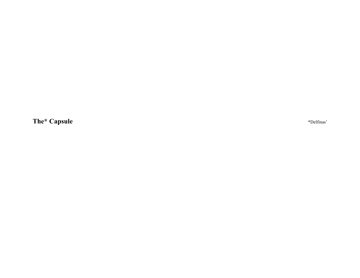**The\* Capsule** \*Delfinas'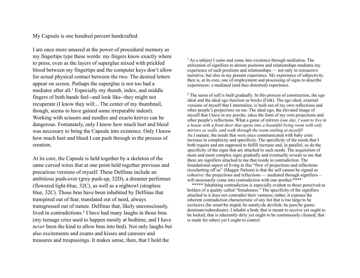My Capsule is one hundred percent handcrafted.

I am once more amazed at the power of procedural memory as my fingertips type these words: my fingers know exactly where to press, even as the layers of superglue mixed with prickled blood between my fingertips and the computer keys don't allow for actual physical contact between the two. The desired letters appear on screen. Perhaps the superglue is not too bad a mediator after all.<sup>1</sup> Especially my thumb, index, and middle fingers of both hands feel--and look like--they might not recuperate (I know they will... The center of my thumbnail, though, seems to have gained some irreparable indent). Working with scissors and needles and exacto knives can be dangerous. Fortunately, only I know how much hurt and bleed was necessary to bring the Capsule into existence. Only I know how much hurt and bleed I can push through in the process of creation.

At its core, the Capsule is held together by a skeleton of the same curved wires that at one point held together previous and precarious versions of myself. These Delfinas include an ambitious push-over (grey push-up, 32D), a dreamer performer (flowered light-blue, 32C), as well as a nightowl (strapless blue, 32C). Those bras have been inhabited by Delfinas that transpired out of fear, translated out of need, always transgressed out of nature. Delfinas that, likely unconsciously, lived in contradictions.<sup>2</sup> I have had many laughs in those bras (my teenage cries used to happen mostly at bedtime, and I have *never* been the kind to allow bras into bed). Not only laughs but also excitements and exams and kisses and caresses and treasures and trespassings. It makes sense, then, that I hold the

<sup>1</sup> As a subject I came and come into existence through mediation. The utilization of signifiers to denote positions and relationships mediates my experience of such positions and relationships — not only in retroactive narrative, but also in my present experience. My experience of subjectivity then is, at its core, one of employment and processing of signs to describe experiences: a mediated (and thus distorted) experience.

2 The sense of self is built gradually. In this process of construction, the ego ideal and the ideal ego function as bricks (Fink). The ego ideal, external versions of myself that I internalize, is built out of my own reflections and other people's projections on me. The ideal ego, the elevated image of myself that I have in my psyche, takes the form of my own projections and other people's reflections. What a game of mirrors *(one day, I want to live in a house with a front door that opens into a beautiful living room with only mirrors as walls, and walk through the room smiling at myself)*! As I mature, the needs that were once communicated with baby cries increase in complexity and specificity. The specificity of the needs that I both require and am supposed to fulfill increase and, in parallel, so do the specificity of the signs that are attached to such needs. The acquisition of more and more complex signs gradually and eventually reveals to me that there are signifiers attached to me that reside in contradiction. The foundational aspect of living in this "flow of projections and reflections ricochetting off us" (Maggie Nelson) is that the self cannot be signed as cohesive: the projections and reflections — mediated through signifiers will necessarily come into contradiction with one another.\*\*\*\*\*

\*\*\*\*\* Inhabiting contradiction is especially evident to those perceived as holders of a quality called "femaleness." The specificity of the signifiers attached to it does not contradict their vastness; rather, it exposes the inherent contradiction characteristic of any list that is too large to be exclusive (be smart/be stupid; be saintly/de devilish, be pure/be game; dominate/subordinate). I inhabit a body that is meant to receive yet ought to be locked, that is inherently dirty yet ought to be continuously cleaned, that is made for others yet I ought to control.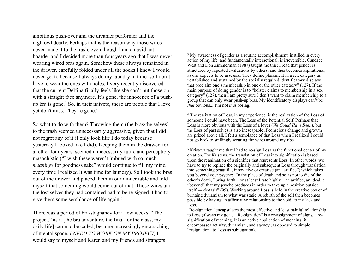ambitious push-over and the dreamer performer and the nightowl dearly. Perhaps that is the reason why those wires never made it to the trash, even though I am an avid antihoarder and I decided more than four years ago that I was never wearing wired bras again. Somehow these always remained in the drawer, carefully folded under all the socks I knew I would never get to because I always do my laundry in time so I don't have to wear the ones with holes. I very recently discovered that the current Delfina finally feels like she can't put those on with a straight face anymore. It's gone, the innocence of a pushup bra is gone.3 So, in their naiveté, these are people that I love yet don't miss. They're gone.4

So what to do with them? Throwing them (the bras/the selves) to the trash seemed unnecessarily aggressive, given that I did not regret any of it (I only look like I do today because yesterday I looked like I did). Keeping them in the drawer, for another four years, seemed unnecessarily futile and perceptibly masochistic ("I wish these weren't imbued with so much *meaning!* for goodness sake" would continue to fill my mind every time I realized It was time for laundry). So I took the bras out of the drawer and placed them in our dinner table and told myself that something would come out of that. Those wires and the lost selves they had contained had to be re-signed. I had to give them some semblance of life again.5

There was a period of bra-stagnancy for a few weeks. "The project," as it [the bra adventure, the final for the class, my daily life] came to be called, became increasingly encroaching of mental space. *I NEED TO WORK ON MY PROJECT,* I would say to myself and Karen and my friends and strangers

<sup>3</sup> My awareness of gender as a routine accomplishment, instilled in every action of my life, and fundamentally interactional, is irreversible. Candace West and Don Zimmerman (1987) taught me this; I read that gender is structured by repeated evaluations by others, and thus becomes aspirational, as one expects to be assessed. They define placement in a sex category as "established and sustained by the socially required identificatory displays that proclaim one's membership in one or the other category" (127). If the main purpose of doing gender is to "bolster claims to membership in a sex category" (127), then I am pretty sure I don't want to claim membership to a group that can only wear push-up bras. My identificatory displays can't be *that* obvious... I'm not *that* boring...

4 The realization of Loss, in my experience, is the realization of the Loss of someone I could have been. The Loss of the Potential Self. Perhaps that Loss is more obvious with the Loss of a lover (*We Could Have Been*), but the Loss of past selves is also inescapable if conscious change and growth are prized above all. I felt a semblance of that Loss when I realized I could not go back to smilingly wearing the wires around my ribs.

5 Kristeva taught me that I had to re-sign Loss as the functional center of my creation. For Kristeva, the translation of Loss into signification is based upon the reanimation of a signifier that represents Loss. In other words, we have to try to replace the originally and subsequent Loss through translation into something beautiful, innovative or creative (an "artifice") which takes you beyond your psyche: "In the place of death and so as not to die of the other's death, I bring forth—or at least I rate highly—an artifice, an ideal, a "beyond" that my psyche produces in order to take up a position outside itself — ek-tasis" (99). Working around Loss is held in the creative power of bringing dynamism to what was static. A rebirth of the self then becomes possible by having an affirmative relationship to the void, to my lack and Loss.

"Re-signation" encapsulates the most effective and least painful relationship to Loss (always my goal). "Re-signation" is a re-assignment of signs, a resignification of meaning. It is an active application of meaning; it encompasses activity, dynamism, and agency (as opposed to simple "resignation" to Loss as subjugation).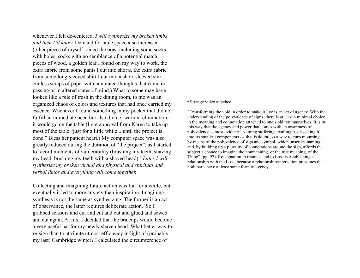whenever I felt de-centered. *I will synthesize my broken limbs and then I'll know.* Demand for table space also increased (other pieces of myself joined the bras, including some socks with holes, socks with no semblance of a potential match, pieces of wood, a golden leaf I found on my way to work, the extra fabric from some pants I cut into shorts, the extra fabric from some long-sleeved shirt I cut into a short-sleeved shirt, endless scraps of paper with annotated thoughts that came in passing or in altered states of mind.) What to some may have looked like a pile of trash in the dining room, to me was an organized chaos of colors and textures that had once carried my essence. Whenever I found something in my pocket that did not fulfill an immediate need but also did not warrant elimination, it would go on the table (I got approval from Karen to take up most of the table "just for a little while... until the project is done." Bless her patient heart.) My computer space was also greatly reduced during the duration of "the project", as I started to record moments of vulnerability (brushing my teeth, shaving my head, brushing my teeth with a shaved head).6 *Later I will synthesize my broken virtual and physical and spiritual and verbal limbs and everything will come together.*

Collecting and imagining future action was fun for a while, but eventually it led to more anxiety than inspiration. Imagining synthesis is not the same as synthesizing. The former is an act of observance, the latter requires deliberate action.7 So I grabbed scissors and cut and cut and cut and glued and sewed and cut again. At first I decided that the bra cups would become a very useful hat for my newly shaven head. What better way to re-sign than to attribute utmost efficiency in light of (probably my last) Cambridge winter? I calculated the circumference of

## 6 Strange video attached.

7 Transforming the void in order to make it live is an act of agency. With the understanding of the polyvalence of signs, there is at least a minimal choice in the meaning and connotation attached to one's old traumas/selves. It is in this way that the agency and power that comes with an awareness of polyvalence is most evident: "Naming suffering, exalting it, dissecting it into its smallest components --- that is doubtless a way to curb mourning... by means of the polyvalence of sign and symbol, which unsettles naming and, by building up a plurality of connotations around the sign, affords the subject a chance to imagine the nonmeaning, or the true meaning, of the Thing" (pg. 97). Re-signation to traumas and to Loss is establishing a relationship with the Loss, because a relationship/interaction presumes that both parts have at least some form of agency.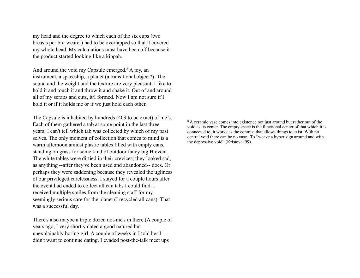my head and the degree to which each of the six cups (two breasts per bra-wearer) had to be overlapped so that it covered my whole head. My calculations must have been off because it the product started looking like a kippah.

And around the void my Capsule emerged.<sup>8</sup> A toy, an instrument, a spaceship, a planet (a transitional object?). The sound and the weight and the texture are very pleasant, I like to hold it and touch it and throw it and shake it. Out of and around all of my scraps and cuts, it/I formed. Now I am not sure if I hold it or if it holds me or if we just hold each other.

The Capsule is inhabited by hundreds (409 to be exact) of me's. Each of them gathered a tab at some point in the last three years; I can't tell which tab was collected by which of my past selves. The only moment of collection that comes to mind is a warm afternoon amidst plastic tables filled with empty cans, standing on grass for some kind of outdoor fancy big H event. The white tables were dirtied in their crevices; they looked sad, as anything --after they've been used and abandoned-- does. Or perhaps they were saddening because they revealed the ugliness of our privileged carelessness. I stayed for a couple hours after the event had ended to collect all can tabs I could find. I received multiple smiles from the cleaning staff for my seemingly serious care for the planet (I recycled all cans). That was a successful day.

There's also maybe a triple dozen not-me's in there (A couple of years ago, I very shortly dated a good natured but unexplainably boring girl. A couple of weeks in I told her I didn't want to continue dating. I evaded post-the-talk meet ups

<sup>8</sup> A ceramic vase comes into existence not just around but rather out of the void as its center. The empty space is the functional center of that which it is connected to, it works as the contrast that allows things to exist. With no central void there can be no vase. To "weave a hyper sign around and with the depressive void" (Kristeva, 99).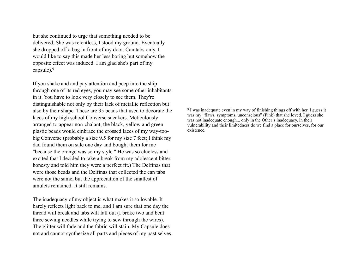but she continued to urge that something needed to be delivered. She was relentless, I stood my ground. Eventually she dropped off a bag in front of my door. Can tabs only. I would like to say this made her less boring but somehow the opposite effect was induced. I am glad she's part of my capsule).9

If you shake and and pay attention and peep into the ship through one of its red eyes, you may see some other inhabitants in it. You have to look very closely to see them. They're distinguishable not only by their lack of metallic reflection but also by their shape. These are 35 beads that used to decorate the laces of my high school Converse sneakers. Meticulously arranged to appear non-chalant, the black, yellow and green plastic beads would embrace the crossed laces of my way-toobig Converse (probably a size 9.5 for my size 7 feet; I think my dad found them on sale one day and bought them for me "because the orange was so my style." He was so clueless and excited that I decided to take a break from my adolescent bitter honesty and told him they were a perfect fit.) The Delfinas that wore those beads and the Delfinas that collected the can tabs were not the same, but the appreciation of the smallest of amulets remained. It still remains.

The inadequacy of my object is what makes it so lovable. It barely reflects light back to me, and I am sure that one day the thread will break and tabs will fall out (I broke two and bent three sewing needles while trying to sew through the wires). The glitter will fade and the fabric will stain. My Capsule does not and cannot synthesize all parts and pieces of my past selves. 9 I was inadequate even in my way of finishing things off with her. I guess it was my "flaws, symptoms, unconscious" (Fink) that she loved. I guess she was not inadequate enough... only in the Other's inadequacy, in their vulnerability and their limitedness do we find a place for ourselves, for our existence.